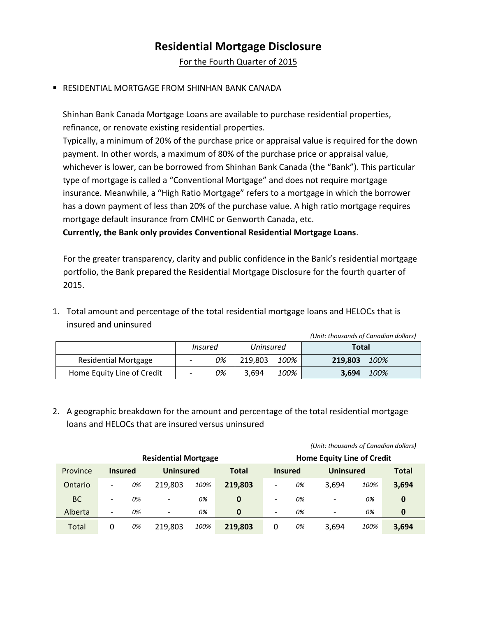## **Residential Mortgage Disclosure**

For the Fourth Quarter of 2015

## RESIDENTIAL MORTGAGE FROM SHINHAN BANK CANADA

Shinhan Bank Canada Mortgage Loans are available to purchase residential properties, refinance, or renovate existing residential properties.

Typically, a minimum of 20% of the purchase price or appraisal value is required for the down payment. In other words, a maximum of 80% of the purchase price or appraisal value, whichever is lower, can be borrowed from Shinhan Bank Canada (the "Bank"). This particular type of mortgage is called a "Conventional Mortgage" and does not require mortgage insurance. Meanwhile, a "High Ratio Mortgage" refers to a mortgage in which the borrower has a down payment of less than 20% of the purchase value. A high ratio mortgage requires mortgage default insurance from CMHC or Genworth Canada, etc.

**Currently, the Bank only provides Conventional Residential Mortgage Loans**.

For the greater transparency, clarity and public confidence in the Bank's residential mortgage portfolio, the Bank prepared the Residential Mortgage Disclosure for the fourth quarter of 2015.

1. Total amount and percentage of the total residential mortgage loans and HELOCs that is insured and uninsured

|                             |                          |         |           |      | (Unit: thousands of Canadian dollars) |      |
|-----------------------------|--------------------------|---------|-----------|------|---------------------------------------|------|
|                             |                          | Insured | Uninsured |      | Total                                 |      |
| <b>Residential Mortgage</b> | $\qquad \qquad -$        | 0%      | 219.803   | 100% | 219,803                               | 100% |
| Home Equity Line of Credit  | $\overline{\phantom{a}}$ | 0%      | 3.694     | 100% | 3.694                                 | 100% |

2. A geographic breakdown for the amount and percentage of the total residential mortgage loans and HELOCs that are insured versus uninsured

|                             |                          |    |                          |      |              |                                   | romi. moasanas or canadian donars) |                          |      |              |
|-----------------------------|--------------------------|----|--------------------------|------|--------------|-----------------------------------|------------------------------------|--------------------------|------|--------------|
| <b>Residential Mortgage</b> |                          |    |                          |      |              | <b>Home Equity Line of Credit</b> |                                    |                          |      |              |
| Province                    | <b>Insured</b>           |    | <b>Uninsured</b>         |      | <b>Total</b> |                                   | <b>Insured</b>                     | <b>Uninsured</b>         |      | <b>Total</b> |
| Ontario                     | $\qquad \qquad -$        | 0% | 219,803                  | 100% | 219,803      | $\overline{\phantom{a}}$          | 0%                                 | 3.694                    | 100% | 3,694        |
| <b>BC</b>                   | $\overline{\phantom{a}}$ | 0% | $\overline{\phantom{0}}$ | 0%   | 0            | $\overline{\phantom{0}}$          | 0%                                 | $\overline{\phantom{a}}$ | 0%   | 0            |
| Alberta                     | $\overline{\phantom{a}}$ | 0% | $\overline{\phantom{a}}$ | 0%   | $\bf{0}$     | $\overline{\phantom{a}}$          | 0%                                 | $\overline{\phantom{a}}$ | 0%   | 0            |
| Total                       | 0                        | 0% | 219.803                  | 100% | 219,803      | 0                                 | 0%                                 | 3.694                    | 100% | 3,694        |

*(Unit: thousands of Canadian dollars)*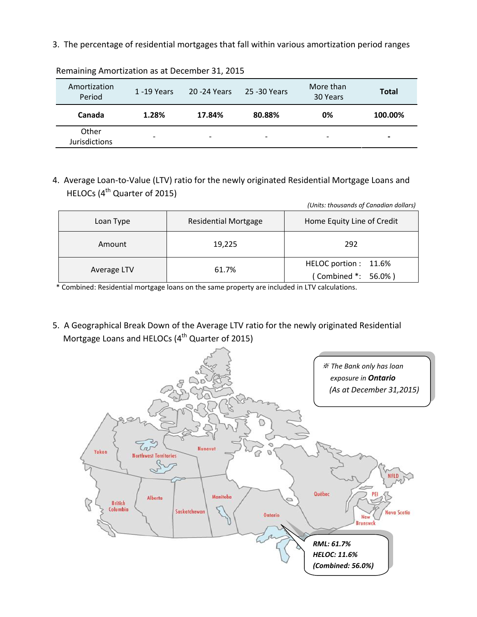3. The percentage of residential mortgages that fall within various amortization period ranges

| Amortization<br>Period        | $1 - 19$ Years           | 20 - 24 Years            | 25 -30 Years             | More than<br>30 Years    | <b>Total</b>             |
|-------------------------------|--------------------------|--------------------------|--------------------------|--------------------------|--------------------------|
| Canada                        | 1.28%                    | 17.84%                   | 80.88%                   | 0%                       | 100.00%                  |
| Other<br><b>Jurisdictions</b> | $\overline{\phantom{a}}$ | $\overline{\phantom{a}}$ | $\overline{\phantom{a}}$ | $\overline{\phantom{0}}$ | $\overline{\phantom{0}}$ |

Remaining Amortization as at December 31, 2015

4. Average Loan-to-Value (LTV) ratio for the newly originated Residential Mortgage Loans and HELOCs (4<sup>th</sup> Quarter of 2015)

|             |                             | romas. moasunus of cunuulun dolluis)        |  |  |
|-------------|-----------------------------|---------------------------------------------|--|--|
| Loan Type   | <b>Residential Mortgage</b> | Home Equity Line of Credit                  |  |  |
| Amount      | 19,225                      | 292                                         |  |  |
| Average LTV | 61.7%                       | HELOC portion: 11.6%<br>(Combined *: 56.0%) |  |  |

*(Units: thousands of Canadian dollars)*

\* Combined: Residential mortgage loans on the same property are included in LTV calculations.

5. A Geographical Break Down of the Average LTV ratio for the newly originated Residential Mortgage Loans and HELOCs (4<sup>th</sup> Quarter of 2015)